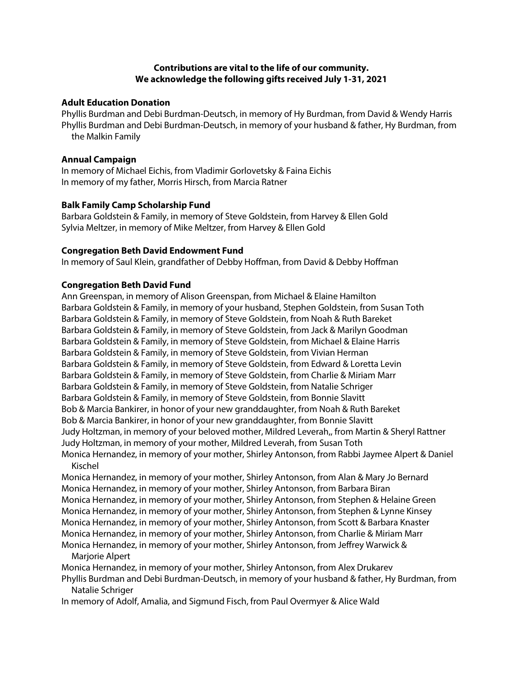# **Contributions are vital to the life of our community. We acknowledge the following gifts received July 1-31, 2021**

#### **Adult Education Donation**

Phyllis Burdman and Debi Burdman-Deutsch, in memory of Hy Burdman, from David & Wendy Harris Phyllis Burdman and Debi Burdman-Deutsch, in memory of your husband & father, Hy Burdman, from the Malkin Family

#### **Annual Campaign**

In memory of Michael Eichis, from Vladimir Gorlovetsky & Faina Eichis In memory of my father, Morris Hirsch, from Marcia Ratner

#### **Balk Family Camp Scholarship Fund**

Barbara Goldstein & Family, in memory of Steve Goldstein, from Harvey & Ellen Gold Sylvia Meltzer, in memory of Mike Meltzer, from Harvey & Ellen Gold

#### **Congregation Beth David Endowment Fund**

In memory of Saul Klein, grandfather of Debby Hoffman, from David & Debby Hoffman

# **Congregation Beth David Fund**

Ann Greenspan, in memory of Alison Greenspan, from Michael & Elaine Hamilton Barbara Goldstein & Family, in memory of your husband, Stephen Goldstein, from Susan Toth Barbara Goldstein & Family, in memory of Steve Goldstein, from Noah & Ruth Bareket Barbara Goldstein & Family, in memory of Steve Goldstein, from Jack & Marilyn Goodman Barbara Goldstein & Family, in memory of Steve Goldstein, from Michael & Elaine Harris Barbara Goldstein & Family, in memory of Steve Goldstein, from Vivian Herman Barbara Goldstein & Family, in memory of Steve Goldstein, from Edward & Loretta Levin Barbara Goldstein & Family, in memory of Steve Goldstein, from Charlie & Miriam Marr Barbara Goldstein & Family, in memory of Steve Goldstein, from Natalie Schriger Barbara Goldstein & Family, in memory of Steve Goldstein, from Bonnie Slavitt Bob & Marcia Bankirer, in honor of your new granddaughter, from Noah & Ruth Bareket Bob & Marcia Bankirer, in honor of your new granddaughter, from Bonnie Slavitt Judy Holtzman, in memory of your beloved mother, Mildred Leverah,, from Martin & Sheryl Rattner Judy Holtzman, in memory of your mother, Mildred Leverah, from Susan Toth Monica Hernandez, in memory of your mother, Shirley Antonson, from Rabbi Jaymee Alpert & Daniel Kischel

Monica Hernandez, in memory of your mother, Shirley Antonson, from Alan & Mary Jo Bernard Monica Hernandez, in memory of your mother, Shirley Antonson, from Barbara Biran Monica Hernandez, in memory of your mother, Shirley Antonson, from Stephen & Helaine Green Monica Hernandez, in memory of your mother, Shirley Antonson, from Stephen & Lynne Kinsey Monica Hernandez, in memory of your mother, Shirley Antonson, from Scott & Barbara Knaster Monica Hernandez, in memory of your mother, Shirley Antonson, from Charlie & Miriam Marr Monica Hernandez, in memory of your mother, Shirley Antonson, from Jeffrey Warwick &

Marjorie Alpert

Monica Hernandez, in memory of your mother, Shirley Antonson, from Alex Drukarev

Phyllis Burdman and Debi Burdman-Deutsch, in memory of your husband & father, Hy Burdman, from Natalie Schriger

In memory of Adolf, Amalia, and Sigmund Fisch, from Paul Overmyer & Alice Wald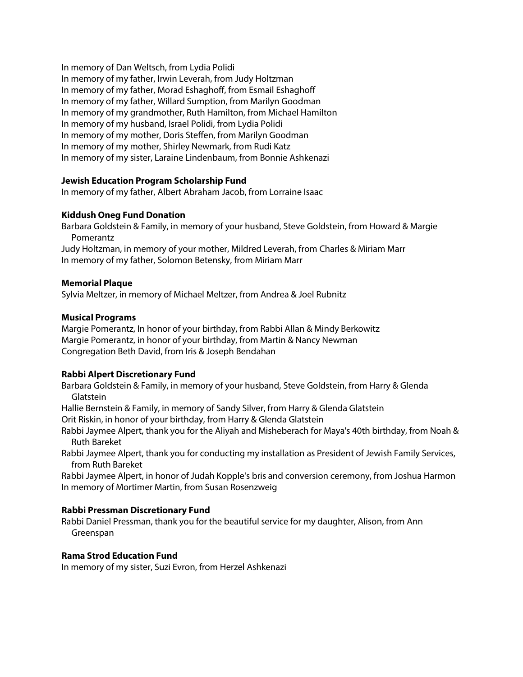In memory of Dan Weltsch, from Lydia Polidi In memory of my father, Irwin Leverah, from Judy Holtzman In memory of my father, Morad Eshaghoff, from Esmail Eshaghoff In memory of my father, Willard Sumption, from Marilyn Goodman In memory of my grandmother, Ruth Hamilton, from Michael Hamilton In memory of my husband, Israel Polidi, from Lydia Polidi In memory of my mother, Doris Steffen, from Marilyn Goodman In memory of my mother, Shirley Newmark, from Rudi Katz In memory of my sister, Laraine Lindenbaum, from Bonnie Ashkenazi

# **Jewish Education Program Scholarship Fund**

In memory of my father, Albert Abraham Jacob, from Lorraine Isaac

# **Kiddush Oneg Fund Donation**

Barbara Goldstein & Family, in memory of your husband, Steve Goldstein, from Howard & Margie Pomerantz

Judy Holtzman, in memory of your mother, Mildred Leverah, from Charles & Miriam Marr In memory of my father, Solomon Betensky, from Miriam Marr

# **Memorial Plaque**

Sylvia Meltzer, in memory of Michael Meltzer, from Andrea & Joel Rubnitz

# **Musical Programs**

Margie Pomerantz, In honor of your birthday, from Rabbi Allan & Mindy Berkowitz Margie Pomerantz, in honor of your birthday, from Martin & Nancy Newman Congregation Beth David, from Iris & Joseph Bendahan

# **Rabbi Alpert Discretionary Fund**

Barbara Goldstein & Family, in memory of your husband, Steve Goldstein, from Harry & Glenda Glatstein

Hallie Bernstein & Family, in memory of Sandy Silver, from Harry & Glenda Glatstein Orit Riskin, in honor of your birthday, from Harry & Glenda Glatstein

Rabbi Jaymee Alpert, thank you for the Aliyah and Misheberach for Maya's 40th birthday, from Noah & Ruth Bareket

Rabbi Jaymee Alpert, thank you for conducting my installation as President of Jewish Family Services, from Ruth Bareket

Rabbi Jaymee Alpert, in honor of Judah Kopple's bris and conversion ceremony, from Joshua Harmon In memory of Mortimer Martin, from Susan Rosenzweig

# **Rabbi Pressman Discretionary Fund**

Rabbi Daniel Pressman, thank you for the beautiful service for my daughter, Alison, from Ann Greenspan

# **Rama Strod Education Fund**

In memory of my sister, Suzi Evron, from Herzel Ashkenazi